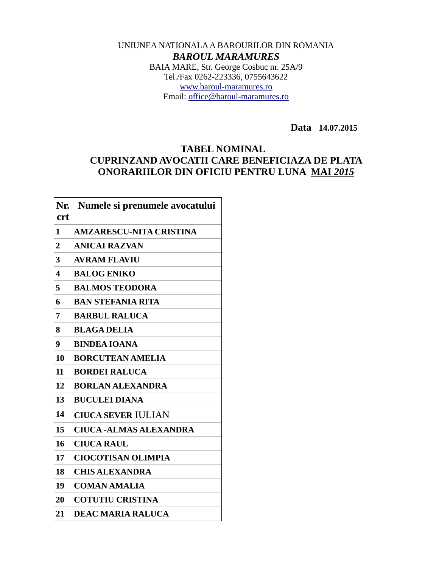## UNIUNEA NATIONALA A BAROURILOR DIN ROMANIA *BAROUL MARAMURES*

BAIA MARE, Str. George Cosbuc nr. 25A/9 Tel./Fax 0262-223336, 0755643622 [www.baroul-maramures.ro](http://www.baroul-maramures.ro/) Email: [office@baroul-maramures.ro](mailto:office@baroul-maramures.ro)

 **Data 14.07.2015**

## **TABEL NOMINAL CUPRINZAND AVOCATII CARE BENEFICIAZA DE PLATA ONORARIILOR DIN OFICIU PENTRU LUNA MAI** *2015*

| Nr.            | Numele si prenumele avocatului |
|----------------|--------------------------------|
| <b>crt</b>     |                                |
| 1              | <b>AMZARESCU-NITA CRISTINA</b> |
| $\overline{2}$ | <b>ANICAI RAZVAN</b>           |
| 3              | <b>AVRAM FLAVIU</b>            |
| 4              | <b>BALOG ENIKO</b>             |
| 5              | <b>BALMOS TEODORA</b>          |
| 6              | <b>BAN STEFANIA RITA</b>       |
| 7              | <b>BARBUL RALUCA</b>           |
| 8              | <b>BLAGA DELIA</b>             |
| 9              | <b>BINDEA IOANA</b>            |
| 10             | <b>BORCUTEAN AMELIA</b>        |
| 11             | <b>BORDEI RALUCA</b>           |
| 12             | <b>BORLAN ALEXANDRA</b>        |
| 13             | <b>BUCULEI DIANA</b>           |
| 14             | <b>CIUCA SEVER IULIAN</b>      |
| 15             | <b>CIUCA -ALMAS ALEXANDRA</b>  |
| 16             | <b>CIUCA RAUL</b>              |
| 17             | <b>CIOCOTISAN OLIMPIA</b>      |
| 18             | <b>CHIS ALEXANDRA</b>          |
| 19             | <b>COMAN AMALIA</b>            |
| 20             | <b>COTUTIU CRISTINA</b>        |
| 21             | <b>DEAC MARIA RALUCA</b>       |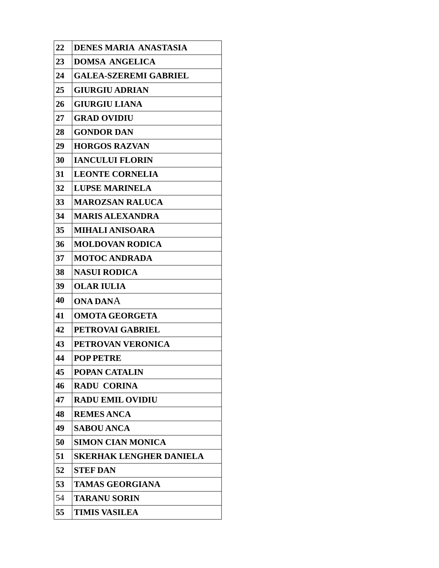| 22 | <b>DENES MARIA ANASTASIA</b>   |
|----|--------------------------------|
| 23 | <b>DOMSA ANGELICA</b>          |
| 24 | <b>GALEA-SZEREMI GABRIEL</b>   |
| 25 | <b>GIURGIU ADRIAN</b>          |
| 26 | <b>GIURGIU LIANA</b>           |
| 27 | <b>GRAD OVIDIU</b>             |
| 28 | <b>GONDOR DAN</b>              |
| 29 | <b>HORGOS RAZVAN</b>           |
| 30 | <b>IANCULUI FLORIN</b>         |
| 31 | <b>LEONTE CORNELIA</b>         |
| 32 | <b>LUPSE MARINELA</b>          |
| 33 | <b>MAROZSAN RALUCA</b>         |
| 34 | <b>MARIS ALEXANDRA</b>         |
| 35 | <b>MIHALI ANISOARA</b>         |
| 36 | <b>MOLDOVAN RODICA</b>         |
| 37 | <b>MOTOC ANDRADA</b>           |
| 38 | <b>NASUI RODICA</b>            |
| 39 | <b>OLAR IULIA</b>              |
| 40 | <b>ONA DANA</b>                |
| 41 | <b>OMOTA GEORGETA</b>          |
| 42 | PETROVAI GABRIEL               |
| 43 | PETROVAN VERONICA              |
| 44 | <b>POP PETRE</b>               |
| 45 | <b>POPAN CATALIN</b>           |
| 46 | <b>RADU CORINA</b>             |
| 47 | <b>RADU EMIL OVIDIU</b>        |
| 48 | <b>REMES ANCA</b>              |
| 49 | <b>SABOU ANCA</b>              |
| 50 | <b>SIMON CIAN MONICA</b>       |
| 51 | <b>SKERHAK LENGHER DANIELA</b> |
| 52 | <b>STEF DAN</b>                |
| 53 | <b>TAMAS GEORGIANA</b>         |
| 54 | <b>TARANU SORIN</b>            |
| 55 | <b>TIMIS VASILEA</b>           |